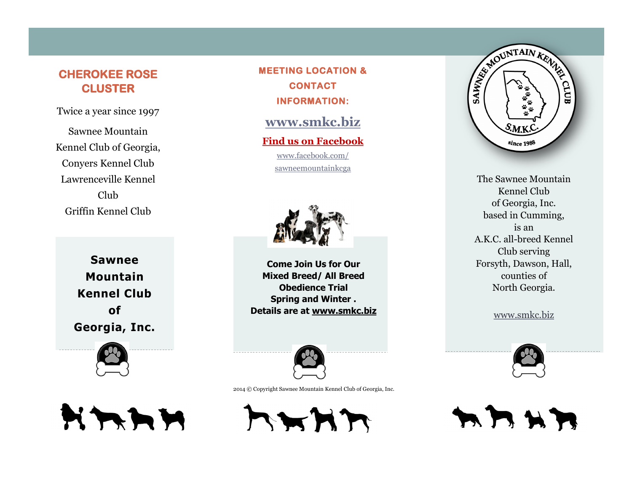## **CHEROKEE ROSE CLUSTER**

Twice a year since 1997

Sawnee Mountain Kennel Club of Georgia, Conyers Kennel Club Lawrenceville Kennel Club Griffin Kennel Club

> **Sawnee Mountain Kennel Club of Georgia, Inc.**



**MEETING LOCATION & CONTACT INFORMATION:** 

**[www.smkc.biz](http://www.smkc.biz)**

**Find us on Facebook** www.facebook.com/ sawneemountainkcga



**Come Join Us for Our Mixed Breed/ All Breed Obedience Trial Spring and Winter . Details are at www.smkc.biz**



2014 © Copyright Sawnee Mountain Kennel Club of Georgia, Inc.





The Sawnee Mountain Kennel Club of Georgia, Inc. based in Cumming, is an A.K.C. all-breed Kennel Club serving Forsyth, Dawson, Hall, counties of North Georgia.

www.smkc.biz